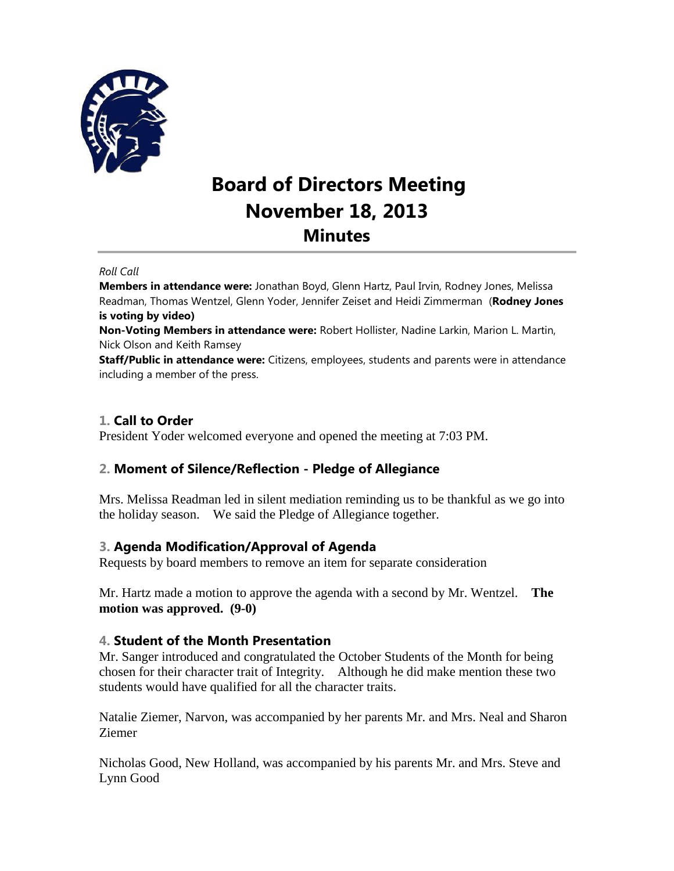

# **Board of Directors Meeting November 18, 2013 Minutes**

#### *Roll Call*

**Members in attendance were:** Jonathan Boyd, Glenn Hartz, Paul Irvin, Rodney Jones, Melissa Readman, Thomas Wentzel, Glenn Yoder, Jennifer Zeiset and Heidi Zimmerman (**Rodney Jones is voting by video)**

**Non-Voting Members in attendance were:** Robert Hollister, Nadine Larkin, Marion L. Martin, Nick Olson and Keith Ramsey

**Staff/Public in attendance were:** Citizens, employees, students and parents were in attendance including a member of the press.

# **1. Call to Order**

President Yoder welcomed everyone and opened the meeting at 7:03 PM.

### **2. Moment of Silence/Reflection - Pledge of Allegiance**

Mrs. Melissa Readman led in silent mediation reminding us to be thankful as we go into the holiday season. We said the Pledge of Allegiance together.

### **3. Agenda Modification/Approval of Agenda**

Requests by board members to remove an item for separate consideration

Mr. Hartz made a motion to approve the agenda with a second by Mr. Wentzel. **The motion was approved. (9-0)**

### **4. Student of the Month Presentation**

Mr. Sanger introduced and congratulated the October Students of the Month for being chosen for their character trait of Integrity. Although he did make mention these two students would have qualified for all the character traits.

Natalie Ziemer, Narvon, was accompanied by her parents Mr. and Mrs. Neal and Sharon Ziemer

Nicholas Good, New Holland, was accompanied by his parents Mr. and Mrs. Steve and Lynn Good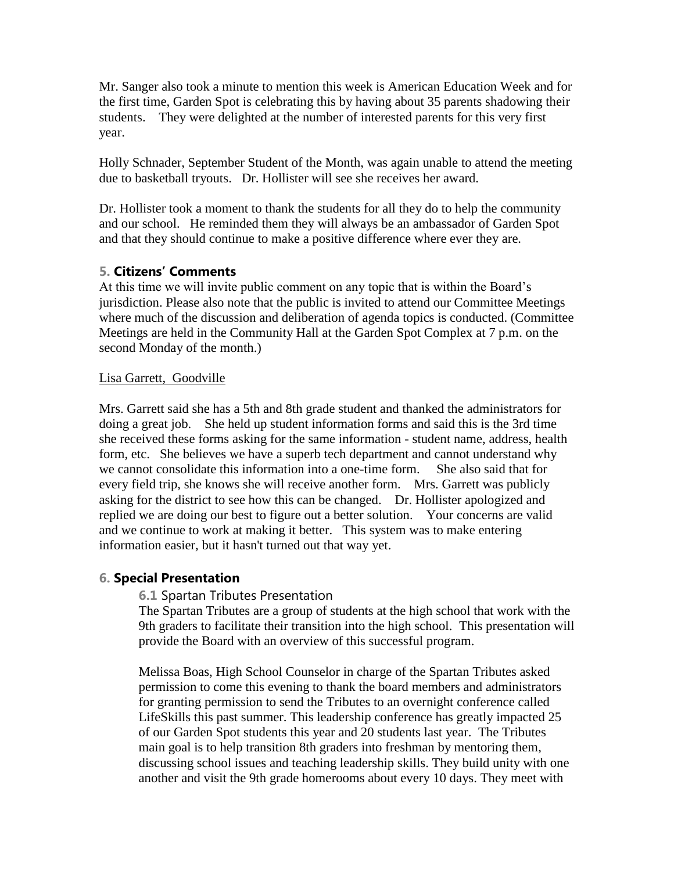Mr. Sanger also took a minute to mention this week is American Education Week and for the first time, Garden Spot is celebrating this by having about 35 parents shadowing their students. They were delighted at the number of interested parents for this very first year.

Holly Schnader, September Student of the Month, was again unable to attend the meeting due to basketball tryouts. Dr. Hollister will see she receives her award.

Dr. Hollister took a moment to thank the students for all they do to help the community and our school. He reminded them they will always be an ambassador of Garden Spot and that they should continue to make a positive difference where ever they are.

# **5. Citizens' Comments**

At this time we will invite public comment on any topic that is within the Board's jurisdiction. Please also note that the public is invited to attend our Committee Meetings where much of the discussion and deliberation of agenda topics is conducted. (Committee Meetings are held in the Community Hall at the Garden Spot Complex at 7 p.m. on the second Monday of the month.)

### Lisa Garrett, Goodville

Mrs. Garrett said she has a 5th and 8th grade student and thanked the administrators for doing a great job. She held up student information forms and said this is the 3rd time she received these forms asking for the same information - student name, address, health form, etc. She believes we have a superb tech department and cannot understand why we cannot consolidate this information into a one-time form. She also said that for every field trip, she knows she will receive another form. Mrs. Garrett was publicly asking for the district to see how this can be changed. Dr. Hollister apologized and replied we are doing our best to figure out a better solution. Your concerns are valid and we continue to work at making it better. This system was to make entering information easier, but it hasn't turned out that way yet.

### **6. Special Presentation**

### **6.1** Spartan Tributes Presentation

The Spartan Tributes are a group of students at the high school that work with the 9th graders to facilitate their transition into the high school. This presentation will provide the Board with an overview of this successful program.

Melissa Boas, High School Counselor in charge of the Spartan Tributes asked permission to come this evening to thank the board members and administrators for granting permission to send the Tributes to an overnight conference called LifeSkills this past summer. This leadership conference has greatly impacted 25 of our Garden Spot students this year and 20 students last year. The Tributes main goal is to help transition 8th graders into freshman by mentoring them, discussing school issues and teaching leadership skills. They build unity with one another and visit the 9th grade homerooms about every 10 days. They meet with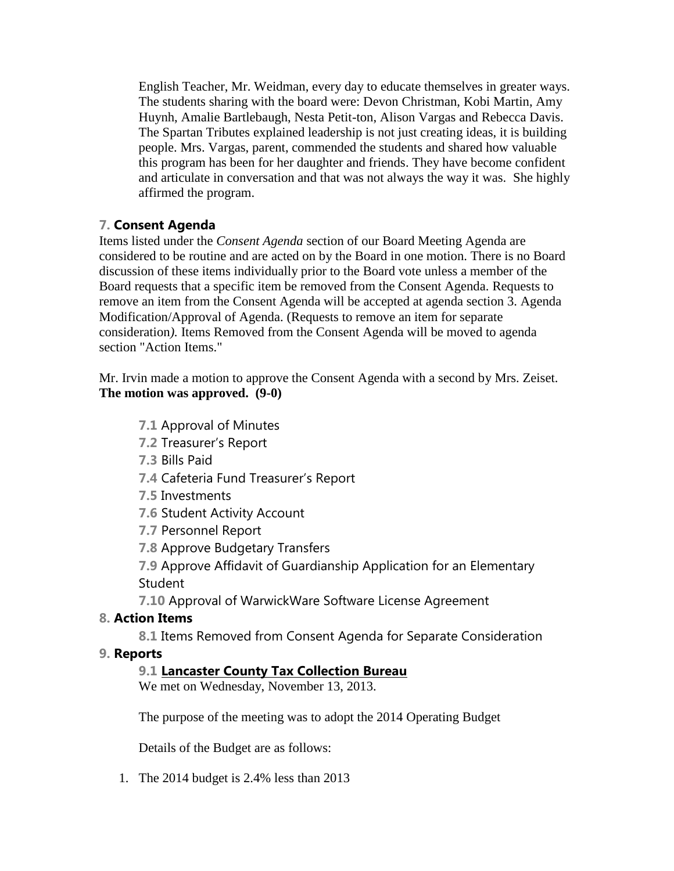English Teacher, Mr. Weidman, every day to educate themselves in greater ways. The students sharing with the board were: Devon Christman, Kobi Martin, Amy Huynh, Amalie Bartlebaugh, Nesta Petit-ton, Alison Vargas and Rebecca Davis. The Spartan Tributes explained leadership is not just creating ideas, it is building people. Mrs. Vargas, parent, commended the students and shared how valuable this program has been for her daughter and friends. They have become confident and articulate in conversation and that was not always the way it was. She highly affirmed the program.

# **7. Consent Agenda**

Items listed under the *Consent Agenda* section of our Board Meeting Agenda are considered to be routine and are acted on by the Board in one motion. There is no Board discussion of these items individually prior to the Board vote unless a member of the Board requests that a specific item be removed from the Consent Agenda. Requests to remove an item from the Consent Agenda will be accepted at agenda section 3. Agenda Modification/Approval of Agenda. (Requests to remove an item for separate consideration*).* Items Removed from the Consent Agenda will be moved to agenda section "Action Items."

Mr. Irvin made a motion to approve the Consent Agenda with a second by Mrs. Zeiset. **The motion was approved. (9-0)**

- **7.1** Approval of Minutes
- **7.2** Treasurer's Report
- **7.3** Bills Paid
- **7.4** Cafeteria Fund Treasurer's Report
- **7.5** Investments
- **7.6** Student Activity Account
- **7.7** Personnel Report
- **7.8** Approve Budgetary Transfers

**7.9** Approve Affidavit of Guardianship Application for an Elementary Student

**7.10** Approval of WarwickWare Software License Agreement

# **8. Action Items**

**8.1** Items Removed from Consent Agenda for Separate Consideration

# **9. Reports**

# **9.1 Lancaster County Tax Collection Bureau**

We met on Wednesday, November 13, 2013.

The purpose of the meeting was to adopt the 2014 Operating Budget

Details of the Budget are as follows:

1. The 2014 budget is 2.4% less than 2013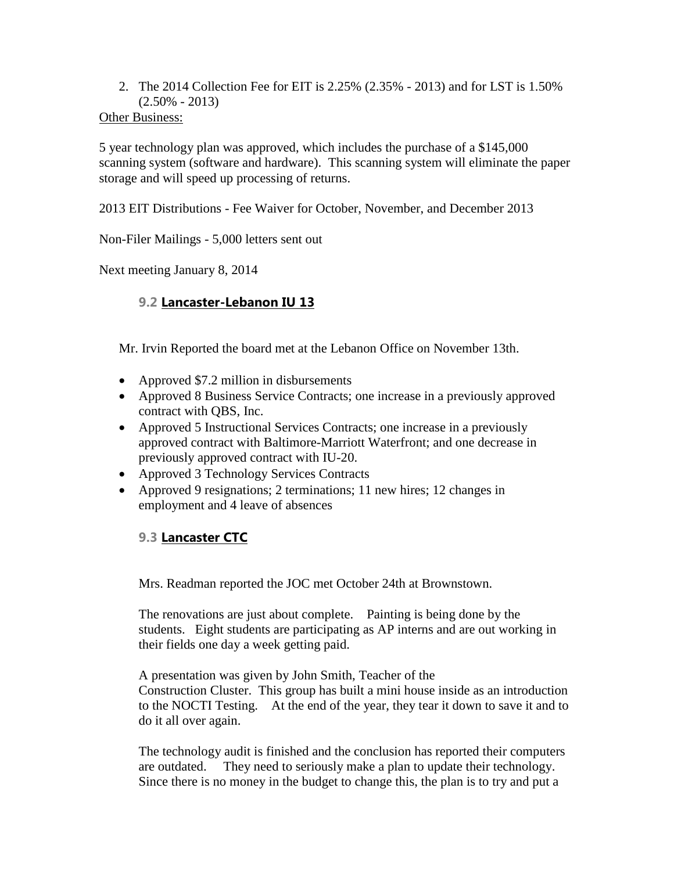2. The 2014 Collection Fee for EIT is 2.25% (2.35% - 2013) and for LST is 1.50%  $(2.50\% - 2013)$ 

### Other Business:

5 year technology plan was approved, which includes the purchase of a \$145,000 scanning system (software and hardware). This scanning system will eliminate the paper storage and will speed up processing of returns.

2013 EIT Distributions - Fee Waiver for October, November, and December 2013

Non-Filer Mailings - 5,000 letters sent out

Next meeting January 8, 2014

# **9.2 Lancaster-Lebanon IU 13**

Mr. Irvin Reported the board met at the Lebanon Office on November 13th.

- Approved \$7.2 million in disbursements
- Approved 8 Business Service Contracts; one increase in a previously approved contract with QBS, Inc.
- Approved 5 Instructional Services Contracts; one increase in a previously approved contract with Baltimore-Marriott Waterfront; and one decrease in previously approved contract with IU-20.
- Approved 3 Technology Services Contracts
- Approved 9 resignations; 2 terminations; 11 new hires; 12 changes in employment and 4 leave of absences

# **9.3 Lancaster CTC**

Mrs. Readman reported the JOC met October 24th at Brownstown.

The renovations are just about complete. Painting is being done by the students. Eight students are participating as AP interns and are out working in their fields one day a week getting paid.

A presentation was given by John Smith, Teacher of the Construction Cluster. This group has built a mini house inside as an introduction to the NOCTI Testing. At the end of the year, they tear it down to save it and to do it all over again.

The technology audit is finished and the conclusion has reported their computers are outdated. They need to seriously make a plan to update their technology. Since there is no money in the budget to change this, the plan is to try and put a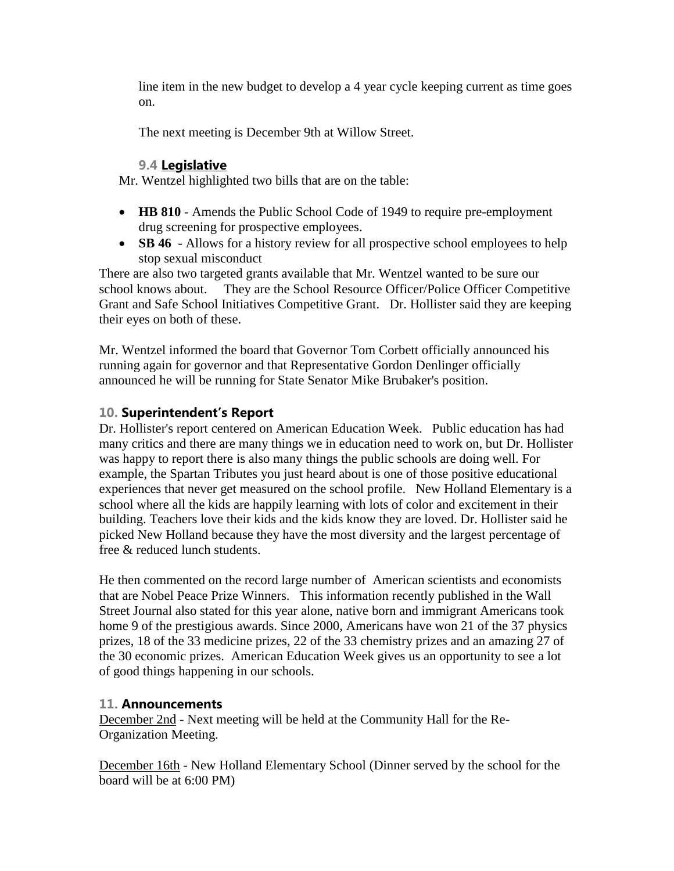line item in the new budget to develop a 4 year cycle keeping current as time goes on.

The next meeting is December 9th at Willow Street.

### **9.4 Legislative**

Mr. Wentzel highlighted two bills that are on the table:

- **HB 810** Amends the Public School Code of 1949 to require pre-employment drug screening for prospective employees.
- **SB 46** Allows for a history review for all prospective school employees to help stop sexual misconduct

There are also two targeted grants available that Mr. Wentzel wanted to be sure our school knows about. They are the School Resource Officer/Police Officer Competitive Grant and Safe School Initiatives Competitive Grant. Dr. Hollister said they are keeping their eyes on both of these.

Mr. Wentzel informed the board that Governor Tom Corbett officially announced his running again for governor and that Representative Gordon Denlinger officially announced he will be running for State Senator Mike Brubaker's position.

# **10. Superintendent's Report**

Dr. Hollister's report centered on American Education Week. Public education has had many critics and there are many things we in education need to work on, but Dr. Hollister was happy to report there is also many things the public schools are doing well. For example, the Spartan Tributes you just heard about is one of those positive educational experiences that never get measured on the school profile. New Holland Elementary is a school where all the kids are happily learning with lots of color and excitement in their building. Teachers love their kids and the kids know they are loved. Dr. Hollister said he picked New Holland because they have the most diversity and the largest percentage of free & reduced lunch students.

He then commented on the record large number of American scientists and economists that are Nobel Peace Prize Winners. This information recently published in the Wall Street Journal also stated for this year alone, native born and immigrant Americans took home 9 of the prestigious awards. Since 2000, Americans have won 21 of the 37 physics prizes, 18 of the 33 medicine prizes, 22 of the 33 chemistry prizes and an amazing 27 of the 30 economic prizes. American Education Week gives us an opportunity to see a lot of good things happening in our schools.

# **11. Announcements**

December 2nd - Next meeting will be held at the Community Hall for the Re-Organization Meeting.

December 16th - New Holland Elementary School (Dinner served by the school for the board will be at 6:00 PM)